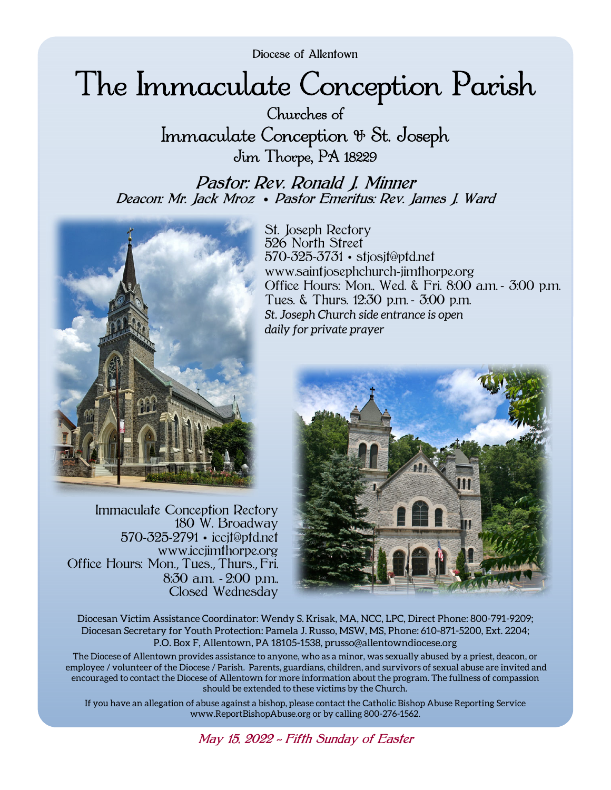Diocese of Allentown

# The Immaculate Conception Parish

Churches of Immaculate Conception & St. Joseph Jim Thorpe, PA 18229

Pastor: Rev. Ronald J. Minner Deacon: Mr. Jack Mroz • Pastor Emeritus: Rev. James J. Ward



Immaculate Conception Rectory 180 W. Broadway 570-325-2791 • iccjt@ptd.net www.iccjimthorpe.org Office Hours: Mon., Tues., Thurs., Fri, 8:30 a.m. - 2:00 p.m., Closed Wednesday

St. Joseph Rectory 526 North Street 570-325-3731 • stjosjt@ptd.net www.saintjosephchurch-jimthorpe.org Office Hours: Mon., Wed. & Fri. 8:00 a.m. - 3:00 p.m. Tues. & Thurs. 12:30 p.m. - 3:00 p.m. *St. Joseph Church side entrance is open daily for private prayer* 



Diocesan Victim Assistance Coordinator: Wendy S. Krisak, MA, NCC, LPC, Direct Phone: 800-791-9209; Diocesan Secretary for Youth Protection: Pamela J. Russo, MSW, MS, Phone: 610-871-5200, Ext. 2204; P.O. Box F, Allentown, PA 18105-1538, prusso@allentowndiocese.org

The Diocese of Allentown provides assistance to anyone, who as a minor, was sexually abused by a priest, deacon, or employee / volunteer of the Diocese / Parish. Parents, guardians, children, and survivors of sexual abuse are invited and encouraged to contact the Diocese of Allentown for more information about the program. The fullness of compassion should be extended to these victims by the Church.

If you have an allegation of abuse against a bishop, please contact the Catholic Bishop Abuse Reporting Service www.ReportBishopAbuse.org or by calling 800-276-1562.

May 15, 2022 *~* Fifth Sunday of Easter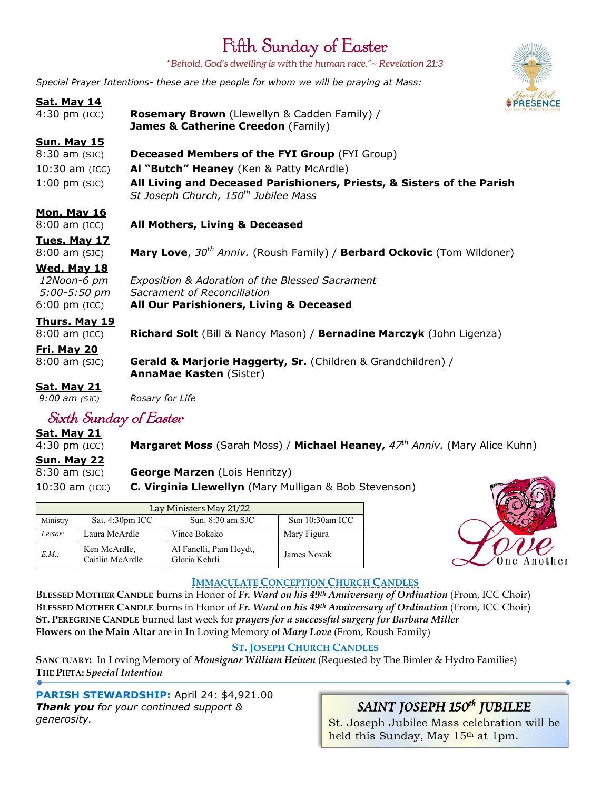# Fifth Sunday of Easter *"Behold, God's dwelling is with the human race."~ Revelation 21:3*

*Special Prayer Intentions- these are the people for whom we will be praying at Mass:*

| <b>Sat. May 14</b>                         |                                                                                                                            |
|--------------------------------------------|----------------------------------------------------------------------------------------------------------------------------|
| $4:30$ pm $(ICC)$                          | <b>Rosemary Brown</b> (Llewellyn & Cadden Family) /<br>James & Catherine Creedon (Family)                                  |
| <b>Sun. May 15</b>                         |                                                                                                                            |
| $8:30$ am $(SJC)$                          | <b>Deceased Members of the FYI Group</b> (FYI Group)                                                                       |
| $10:30$ am (ICC)                           | Al "Butch" Heaney (Ken & Patty McArdle)                                                                                    |
| $1:00$ pm $(SJC)$                          | All Living and Deceased Parishioners, Priests, & Sisters of the Parish<br>St Joseph Church, 150 <sup>th</sup> Jubilee Mass |
| <b>Mon. May 16</b>                         |                                                                                                                            |
| $8:00$ am $(ICC)$                          | All Mothers, Living & Deceased                                                                                             |
| Tues. May 17                               |                                                                                                                            |
| $8:00$ am $(SJC)$                          | <b>Mary Love, 30th Anniv. (Roush Family) / Berbard Ockovic (Tom Wildoner)</b>                                              |
| Wed. May 18                                |                                                                                                                            |
| 12Noon-6 pm                                | Exposition & Adoration of the Blessed Sacrament                                                                            |
| 5:00-5:50 pm                               | Sacrament of Reconciliation                                                                                                |
| $6:00$ pm $(ICC)$                          | All Our Parishioners, Living & Deceased                                                                                    |
| <b>Thurs. May 19</b>                       |                                                                                                                            |
| $8:00$ am $(ICC)$                          | Richard Solt (Bill & Nancy Mason) / Bernadine Marczyk (John Ligenza)                                                       |
| <u>Fri. May 20</u>                         |                                                                                                                            |
| $8:00$ am $(SJC)$                          | Gerald & Marjorie Haggerty, Sr. (Children & Grandchildren) /<br><b>AnnaMae Kasten (Sister)</b>                             |
| <b>Sat. May 21</b>                         |                                                                                                                            |
| $9:00$ am $(SJC)$                          | Rosary for Life                                                                                                            |
| $\alpha$ $\alpha$ $\alpha$ $\beta$ $\beta$ |                                                                                                                            |

# Sixth Sunday of Easter

### **Sat. May 21**

4:30 pm (ICC) **Margaret Moss** (Sarah Moss) / **Michael Heaney,** *47th Anniv.* (Mary Alice Kuhn) **Sun. May 22** 8:30 am (SJC) **George Marzen** (Lois Henritzy) 10:30 am (ICC) **C. Virginia Llewellyn** (Mary Mulligan & Bob Stevenson)

| Lay Ministers May 21/22 |                                 |                                         |                 |  |
|-------------------------|---------------------------------|-----------------------------------------|-----------------|--|
| Ministry                | Sat. $4:30pm$ ICC               | Sun. $8:30$ am SJC                      | Sun 10:30am ICC |  |
| Lector:                 | Laura McArdle                   | Vince Bokeko                            | Mary Figura     |  |
| EM:                     | Ken McArdle,<br>Caitlin McArdle | Al Fanelli, Pam Heydt,<br>Gloria Kehrli | James Novak     |  |



### **IMMACULATE CONCEPTION CHURCH CANDLES**

**BLESSED MOTHER CANDLE** burns in Honor of *Fr. Ward on his 49th Anniversary of Ordination* (From, ICC Choir) **BLESSED MOTHER CANDLE** burns in Honor of *Fr. Ward on his 49th Anniversary of Ordination* (From, ICC Choir) **ST. PEREGRINE CANDLE** burned last week for *prayers for a successful surgery for Barbara Miller* **Flowers on the Main Altar** are in In Loving Memory of *Mary Love* (From, Roush Family)

### **ST. JOSEPH CHURCH CANDLES**

**SANCTUARY:** In Loving Memory of *Monsignor William Heinen* (Requested by The Bimler & Hydro Families) **THE PIETA:** *Special Intention*

**PARISH STEWARDSHIP:** April 24: \$4,921.00 *Thank you for your continued support & generosity.* 

# SAINT JOSEPH 150<sup>th</sup> JUBILEE

St. Joseph Jubilee Mass celebration will be held this Sunday, May 15<sup>th</sup> at 1pm.